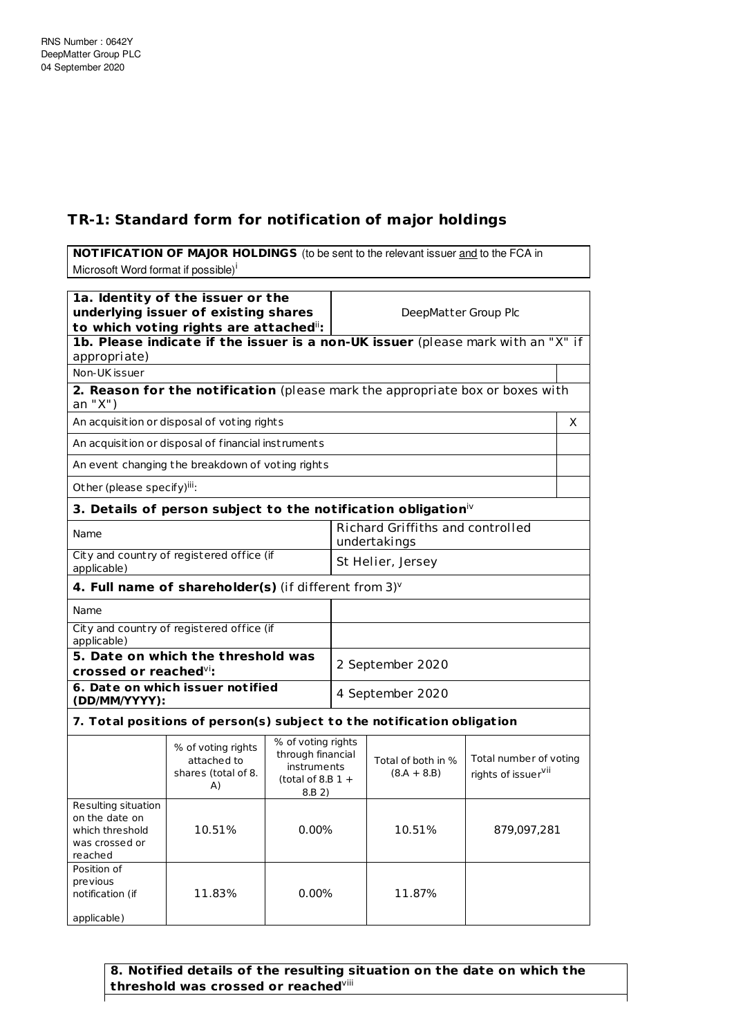## **TR-1: Standard form for notification of major holdings**

**NOTIFICATION OF MAJOR HOLDINGS** (to be sent to the relevant issuer and to the FCA in Microsoft Word format if possible)<sup>i</sup>

| 1a. Identity of the issuer or the<br>underlying issuer of existing shares<br>to which voting rights are attached": |                                                                                  |                                                                                         |                   | DeepMatter Group Plc                             |                                                           |   |
|--------------------------------------------------------------------------------------------------------------------|----------------------------------------------------------------------------------|-----------------------------------------------------------------------------------------|-------------------|--------------------------------------------------|-----------------------------------------------------------|---|
| appropriate)                                                                                                       | 1b. Please indicate if the issuer is a non-UK issuer (please mark with an "X" if |                                                                                         |                   |                                                  |                                                           |   |
| Non-UK issuer                                                                                                      |                                                                                  |                                                                                         |                   |                                                  |                                                           |   |
| an "X")                                                                                                            | 2. Reason for the notification (please mark the appropriate box or boxes with    |                                                                                         |                   |                                                  |                                                           |   |
|                                                                                                                    | An acquisition or disposal of voting rights                                      |                                                                                         |                   |                                                  |                                                           | X |
|                                                                                                                    | An acquisition or disposal of financial instruments                              |                                                                                         |                   |                                                  |                                                           |   |
|                                                                                                                    | An event changing the breakdown of voting rights                                 |                                                                                         |                   |                                                  |                                                           |   |
| Other (please specify)iii:                                                                                         |                                                                                  |                                                                                         |                   |                                                  |                                                           |   |
|                                                                                                                    | 3. Details of person subject to the notification obligation $\dot{w}$            |                                                                                         |                   |                                                  |                                                           |   |
| Name                                                                                                               |                                                                                  |                                                                                         |                   | Richard Griffiths and controlled<br>undertakings |                                                           |   |
| applicable)                                                                                                        | City and country of registered office (if                                        |                                                                                         | St Helier, Jersey |                                                  |                                                           |   |
|                                                                                                                    | 4. Full name of shareholder(s) (if different from $3$ ) $v$                      |                                                                                         |                   |                                                  |                                                           |   |
| Name                                                                                                               |                                                                                  |                                                                                         |                   |                                                  |                                                           |   |
| City and country of registered office (if<br>applicable)                                                           |                                                                                  |                                                                                         |                   |                                                  |                                                           |   |
| 5. Date on which the threshold was<br>crossed or reached <sup>vi</sup> :                                           |                                                                                  |                                                                                         | 2 September 2020  |                                                  |                                                           |   |
| 6. Date on which issuer notified<br>(DD/MM/YYYY):                                                                  |                                                                                  |                                                                                         | 4 September 2020  |                                                  |                                                           |   |
|                                                                                                                    | 7. Total positions of person(s) subject to the notification obligation           |                                                                                         |                   |                                                  |                                                           |   |
|                                                                                                                    | % of voting rights<br>attached to<br>shares (total of 8.<br>A)                   | % of voting rights<br>through financial<br>instruments<br>(total of 8.B $1 +$<br>8.B 2) |                   | Total of both in %<br>$(8.A + 8.B)$              | Total number of voting<br>rights of issuer <sup>vii</sup> |   |
| Resulting situation<br>on the date on<br>which threshold<br>was crossed or<br>reached                              | 10.51%                                                                           | $0.00\%$                                                                                |                   | 10.51%                                           | 879,097,281                                               |   |
| Position of<br>previous<br>notification (if<br>applicable)                                                         | 11.83%                                                                           | $0.00\%$                                                                                |                   | 11.87%                                           |                                                           |   |

**8. Notified details of the resulting situation on the date on which the threshold was crossed or reached** viii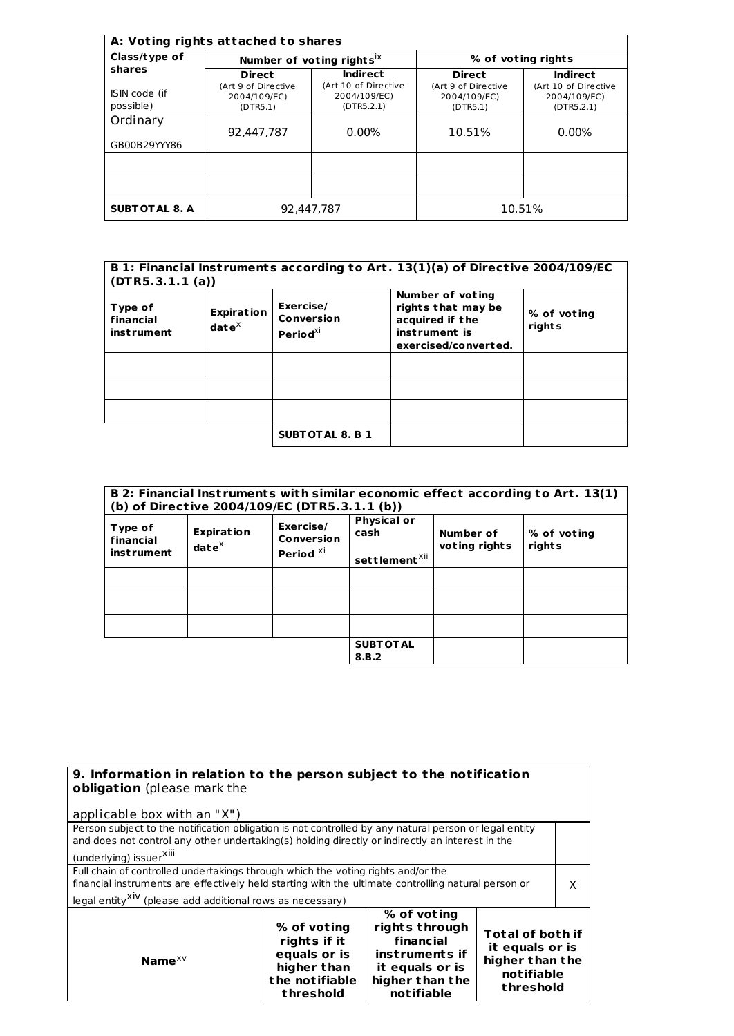## **A: Vot ing rights at tached to shares**

| A: Voting rights attached to shares |                                                 |                                                    |                                                 |                                                    |
|-------------------------------------|-------------------------------------------------|----------------------------------------------------|-------------------------------------------------|----------------------------------------------------|
| Class/type of                       |                                                 | Number of voting rights $X$                        | % of voting rights                              |                                                    |
| shares                              | <b>Direct</b>                                   | <b>Indirect</b>                                    | <b>Direct</b>                                   | <b>Indirect</b>                                    |
| ISIN code (if<br>possible)          | (Art 9 of Directive<br>2004/109/EC)<br>(DTR5.1) | (Art 10 of Directive<br>2004/109/EC)<br>(DTR5.2.1) | (Art 9 of Directive<br>2004/109/EC)<br>(DTR5.1) | (Art 10 of Directive<br>2004/109/EC)<br>(DTR5.2.1) |
| Ordinary                            | 92.447.787                                      | $0.00\%$                                           | 10.51%                                          | $0.00\%$                                           |
| GB00B29YYY86                        |                                                 |                                                    |                                                 |                                                    |
|                                     |                                                 |                                                    |                                                 |                                                    |
| <b>SUBT OT AL 8. A</b>              | 92.447.787                                      |                                                    |                                                 | 10.51%                                             |

| B 1: Financial Instruments according to Art. 13(1)(a) of Directive 2004/109/EC<br>(DTR5.3.1.1(a)) |                                             |                                               |                                                                                                     |                       |
|---------------------------------------------------------------------------------------------------|---------------------------------------------|-----------------------------------------------|-----------------------------------------------------------------------------------------------------|-----------------------|
| Type of<br>financial<br><i>instrument</i>                                                         | <b>Expiration</b><br>$\mathbf{date}^\times$ | Exercise/<br>Conversion<br>Period $^{\chi i}$ | Number of voting<br>rights that may be<br>acquired if the<br>inst rument is<br>exercised/converted. | % of voting<br>rights |
|                                                                                                   |                                             |                                               |                                                                                                     |                       |
|                                                                                                   |                                             |                                               |                                                                                                     |                       |
|                                                                                                   |                                             |                                               |                                                                                                     |                       |
|                                                                                                   |                                             | <b>SUBTOTAL 8. B 1</b>                        |                                                                                                     |                       |

| B 2: Financial Instruments with similar economic effect according to Art. 13(1)<br>(b) of Directive 2004/109/EC (DTR5.3.1.1 (b)) |                                    |                                                 |                                                         |                            |                       |
|----------------------------------------------------------------------------------------------------------------------------------|------------------------------------|-------------------------------------------------|---------------------------------------------------------|----------------------------|-----------------------|
| Type of<br>financial<br><b>instrument</b>                                                                                        | <b>Expiration</b><br>$date^{\chi}$ | Exercise/<br>Conversion<br>Period <sup>xi</sup> | <b>Physical or</b><br>cash<br>settlement <sup>xii</sup> | Number of<br>voting rights | % of voting<br>rights |
|                                                                                                                                  |                                    |                                                 |                                                         |                            |                       |
|                                                                                                                                  |                                    |                                                 |                                                         |                            |                       |
|                                                                                                                                  |                                    |                                                 |                                                         |                            |                       |
|                                                                                                                                  |                                    |                                                 | <b>SUBT OT AL</b><br>8.B.2                              |                            |                       |

| 9. Information in relation to the person subject to the notification<br>obligation (please mark the<br>applicable box with an "X")                                                                                                                                                                                     |  |  |   |  |
|------------------------------------------------------------------------------------------------------------------------------------------------------------------------------------------------------------------------------------------------------------------------------------------------------------------------|--|--|---|--|
| Person subject to the notification obligation is not controlled by any natural person or legal entity<br>and does not control any other undertaking(s) holding directly or indirectly an interest in the<br>(underlying) issuer <sup>Xiii</sup>                                                                        |  |  |   |  |
| Full chain of controlled undertakings through which the voting rights and/or the<br>financial instruments are effectively held starting with the ultimate controlling natural person or<br>legal entity <sup>XIV</sup> (please add additional rows as necessary)                                                       |  |  | X |  |
| % of voting<br>rights through<br>% of voting<br><b>Total of both if</b><br>financial<br>rights if it<br>it equals or is<br>equals or is<br>instruments if<br>higher than the<br>Name $XV$<br>higher than<br>it equals or is<br>notifiable<br>the notifiable<br>higher than the<br>threshold<br>notifiable<br>threshold |  |  |   |  |